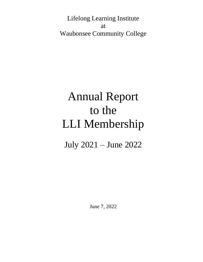Lifelong Learning Institute at Waubonsee Community College

# Annual Report to the LLI Membership

July 2021 – June 2022

June 7, 2022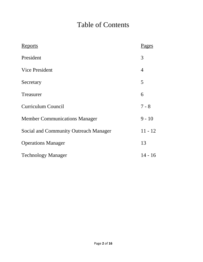# Table of Contents

| <u>Reports</u>                        | Pages          |
|---------------------------------------|----------------|
| President                             | 3              |
| <b>Vice President</b>                 | $\overline{4}$ |
| Secretary                             | 5              |
| Treasurer                             | 6              |
| <b>Curriculum Council</b>             | $7 - 8$        |
| <b>Member Communications Manager</b>  | $9 - 10$       |
| Social and Community Outreach Manager | $11 - 12$      |
| <b>Operations Manager</b>             | 13             |
| <b>Technology Manager</b>             | $14 - 16$      |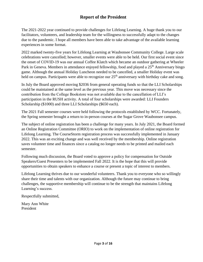# **Report of the President**

The 2021-2022 year continued to provide challenges for Lifelong Learning. A huge thank you to our facilitators, volunteers, and leadership team for the willingness to successfully adapt to the changes due to the pandemic. I hope all members have been able to take advantage of the available learning experiences in some format.

2022 marked twenty-five years for Lifelong Learning at Waubonsee Community College. Large scale celebrations were cancelled; however, smaller events were able to be held. Our first social event since the onset of COVID-19 was our annual Coffee Klatch which became an outdoor gathering at Wheeler Park in Geneva. Members in attendance enjoyed fellowship, food and played a 25<sup>th</sup> Anniversary bingo game. Although the annual Holiday Luncheon needed to be cancelled, a smaller Holiday event was held on campus. Participants were able to recognize our  $25<sup>th</sup>$  anniversary with birthday cake and song.

In July the Board approved moving \$2036 from general operating funds so that the LLI Scholarships could be maintained at the same level as the previous year. This move was necessary since the contribution from the College Bookstore was not available due to the cancellation of LLI's participation in the RUSH activity. A total of four scholarships were awarded: LLI Founders Scholarship (\$1000) and three LLI Scholarships (\$650 each).

The 2021 Fall semester courses were held following the protocols established by WCC. Fortunately, the Spring semester brought a return to in-person courses at the Sugar Grove Waubonsee campus.

The subject of online registration has been a challenge for many years. In July 2021, the Board formed an Online Registration Committee (ORIO) to work on the implementation of online registration for Lifelong Learning. The CourseStorm registration process was successfully implemented in January 2022. This was an exciting change and was well received by the membership. Online registration saves volunteer time and finances since a catalog no longer needs to be printed and mailed each semester.

Following much discussion, the Board voted to approve a policy for compensation for Outside Speakers/Guest Presenters to be implemented Fall 2022. It is the hope that this will provide opportunities to obtain speakers to enhance a course or present a topic of interest to members.

Lifelong Learning thrives due to our wonderful volunteers. Thank you to everyone who so willingly share their time and talents with our organization. Although the future may continue to bring challenges, the supportive membership will continue to be the strength that maintains Lifelong Learning's success.

Respectfully submitted,

Mary Ann White President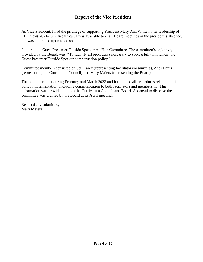# **Report of the Vice President**

As Vice President, I had the privilege of supporting President Mary Ann White in her leadership of LLI in this 2021-2022 fiscal year. I was available to chair Board meetings in the president's absence, but was not called upon to do so.

I chaired the Guest Presenter/Outside Speaker Ad Hoc Committee. The committee's objective, provided by the Board, was: "To identify all procedures necessary to successfully implement the Guest Presenter/Outside Speaker compensation policy."

Committee members consisted of Ceil Carey (representing facilitators/organizers), Andi Danis (representing the Curriculum Council) and Mary Maiers (representing the Board).

The committee met during February and March 2022 and formulated all procedures related to this policy implementation, including communication to both facilitators and membership. This information was provided to both the Curriculum Council and Board. Approval to dissolve the committee was granted by the Board at its April meeting.

Respectfully submitted, Mary Maiers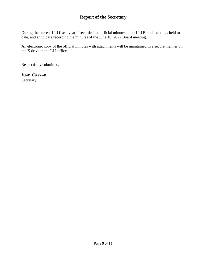# **Report of the Secretary**

During the current LLI fiscal year, I recorded the official minutes of all LLI Board meetings held todate, and anticipate recording the minutes of the June 10, 2022 Board meeting.

An electronic copy of the official minutes with attachments will be maintained in a secure manner on the X drive in the LLI office.

Respectfully submitted,

*Kim Carew* **Secretary**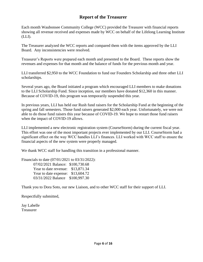# **Report of the Treasurer**

Each month Waubonsee Community College (WCC) provided the Treasurer with financial reports showing all revenue received and expenses made by WCC on behalf of the Lifelong Learning Institute (LLI).

The Treasurer analyzed the WCC reports and compared them with the items approved by the LLI Board. Any inconsistencies were resolved.

Treasurer's Reports were prepared each month and presented to the Board. These reports show the revenues and expenses for that month and the balance of funds for the previous month and year.

LLI transferred \$2,950 to the WCC Foundation to fund our Founders Scholarship and three other LLI scholarships.

Several years ago, the Board initiated a program which encouraged LLI members to make donations to the LLI Scholarship Fund. Since inception, our members have donated \$12,360 in this manner. Because of COVID-19, this program was temporarily suspended this year.

In previous years, LLI has held our Rush fund raisers for the Scholarship Fund at the beginning of the spring and fall semesters. Those fund raisers generated \$2,000 each year. Unfortunately, we were not able to do those fund raisers this year because of COVID-19. We hope to restart those fund raisers when the impact of COVID-19 allows.

LLI implemented a new electronic registration system (CourseStorm) during the current fiscal year. This effort was one of the most important projects ever implemented by our LLI. CourseStorm had a significant effect on the way WCC handles LLI's finances. LLI worked with WCC staff to ensure the financial aspects of the new system were properly managed.

We thank WCC staff for handling this transition in a professional manner.

Financials to date (07/01/2021 to 03/31/2022): 07/02/2021 Balance: \$100,730.68 Year to date revenue: \$13,871.34 Year to date expense: \$13,604.72 03/31/2022 Balance \$100,997.30

Thank you to Dora Soto, our new Liaison, and to other WCC staff for their support of LLI.

Respectfully submitted,

Jay Labelle Treasurer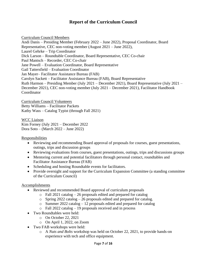# **Report of the Curriculum Council**

Curriculum Council Members Andi Danis – Presiding Member (February 2022 – June 2022), Proposal Coordinator, Board Representative, CEC non-voting member (August 2021 – June 2022), Laurel Gehrke – Trip Coordinator Dick Larson – Roundtable Coordinator, Board Representative, CEC Co-chair Paul Mantsch – Recorder, CEC Co-chair Jane Powell – Evaluation Coordinator, Board Representative Gail Tattersfield – Evaluation Coordinator Jan Mayer– Facilitator Assistance Bureau (FAB) Carolyn Sackett – Facilitator Assistance Bureau (FAB), Board Representative Ruth Harmon – Presiding Member (July 2021 – December 2021), Board Representative (July 2021 – December 2021), CEC non-voting member (July 2021 – December 2021), Facilitator Handbook **Coordinator** 

Curriculum Council Volunteers Betty Williams – Facilitator Packets Kathy Wass – Catalog Typist (through Fall 2021)

WCC Liaison Kim Forney (July 2021 – December 2022 Dora Soto – (March 2022 – June 2022)

**Responsibilities** 

- Reviewing and recommending Board approval of proposals for courses, guest presentations, outings, trips and discussion groups
- Reviewing evaluations from courses, guest presentations, outings, trips and discussions groups
- Mentoring current and potential facilitators through personal contact, roundtables and Facilitator Assistance Bureau (FAB)
- Scheduling and hosting Roundtable events for facilitators.
- Provide oversight and support for the Curriculum Expansion Committee (a standing committee of the Curriculum Council)

#### Accomplishments

- Reviewed and recommended Board approval of curriculum proposals
	- o Fall 2021 catalog 26 proposals edited and prepared for catalog
	- o Spring 2022 catalog 26 proposals edited and prepared for catalog.
	- o Summer 2022 catalog 12 proposals edited and prepared for catalog
	- o Fall 2022 catalog 19 proposals received and in process
- Two Roundtables were held:
	- o On October 22, 2021
	- o On April 1, 2022, on Zoom
- Two FAB workshops were held:
	- o A *Nuts and Bolts* workshop was held on October 22, 2021, to provide hands-on experience with tech and office equipment.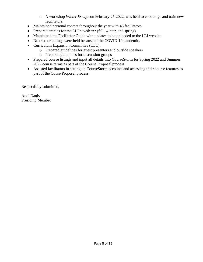- o A workshop *Winter Escape* on February 25, 2022, was held to encourage and train new facilitators.
- Maintained personal contact throughout the year with 48 facilitators
- Prepared articles for the LLI newsletter (fall, winter, and spring)
- Maintained the Facilitator Guide with updates to be uploaded to the LLI website
- No trips or outings were held because of the COVID-19 pandemic.
- Curriculum Expansion Committee (CEC):
	- o Prepared guidelines for guest presenters and outside speakers
	- o Prepared guidelines for discussion groups
- Prepared course listings and input all details into CourseStorm for Spring 2022 and Summer 2022 course terms as part of the Course Proposal process
- Assisted facilitators in setting up CourseStorm accounts and accessing their course features as part of the Couse Proposal process

Respectfully submitted,

Andi Danis Presiding Member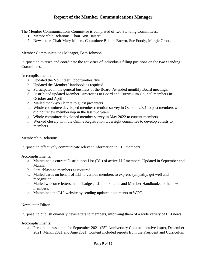# **Report of the Member Communications Manager**

The Member Communications Committee is comprised of two Standing Committees:

- 1. Membership Relations, Chair Ann Hastert.
- 2. Newsletter, Chair Mary Maiers. Committee Bobbie Brown, Sue Foody, Margie Groot.

#### Member Communications Manager, Beth Johnson

Purpose: to oversee and coordinate the activities of individuals filling positions on the two Standing Committees.

Accomplishments:

- a. Updated the Volunteer Opportunities flyer
- b. Updated the Member Handbook as required
- c. Participated in the general business of the Board. Attended monthly Board meetings.
- d. Distributed updated Member Directories to Board and Curriculum Council members in October and April
- e. Mailed thank-you letters to guest presenters
- f. Whole committee developed member retention survey in October 2021 to past members who did not renew membership in the last two years
- g. Whole committee developed member survey in May 2022 to current members
- h. Worked closely with the Online Registration Oversight committee to develop eblasts to members

#### Membership Relations

Purpose: to effectively communicate relevant information to LLI members

Accomplishments:

- a. Maintained a current Distribution List (DL) of active LLI members. Updated in September and March.
- b. Sent eblasts to members as required.
- c. Mailed cards on behalf of LLI to various members to express sympathy, get well and recognition.
- d. Mailed welcome letters, name badges, LLI bookmarks and Member Handbooks to the new members.
- e. Maintained the LLI website by sending updated documents to WCC.

#### Newsletter Editor

Purpose: to publish quarterly newsletters to members, informing them of a wide variety of LLI news.

Accomplishments:

a. Prepared newsletters for September 2021 ( $25<sup>th</sup>$  Anniversary Commemorative issue), December 2021, March 2021 and June 2021. Content included reports from the President and Curriculum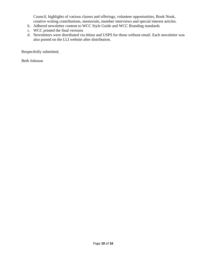Council, highlights of various classes and offerings, volunteer opportunities, Book Nook, creative writing contributions, memorials, member interviews and special interest articles.

- b. Adhered newsletter content to WCC Style Guide and WCC Branding standards
- c. WCC printed the final versions
- d. Newsletters were distributed via eblast and USPS for those without email. Each newsletter was also posted on the LLI website after distribution.

Respectfully submitted,

Beth Johnson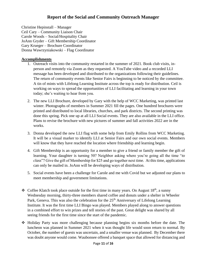# **Report of the Social and Community Outreach Manager**

Christine Hepinstall – Manager Ceil Cary – Community Liaison Chair Carole Woods – Social/Hospitality Chair JoAnn Gryder – Gift Membership Coordinator Gary Krueger – Brochure Coordinator Donna Wawrzyniakowski – Flag Coordinator

#### **Accomplishments**

- 1. Outreach visits into the community restarted in the summer of 2021. Book club visits, inperson and remotely via Zoom as they requested. A YouTube video and a recorded LLI message has been developed and distributed to the organizations following their guidelines. The return of community events like Senior Fairs is beginning to be noticed by the committee. A tin of mints with Lifelong Learning Institute across the top is ready for distribution. Ceil is working on ways to spread the opportunities of LLI facilitating and learning in your town today; she's waiting to hear from you.
- 2. The new LLI Brochure, developed by Gary with the help of WCC Marketing, was printed last winter. Photographs of members in Summer 2021 fill the pages. One hundred brochures were printed and distributed to local libraries, churches, and park districts. The second printing was done this spring. Pick one up at all LLI Social events. They are also available in the LLI office. Plans to revise the brochure with new pictures of summer and fall activities 2022 are in the works.
- 3. Donna developed the new LLI flag with some help from Emily Rollins from WCC Marketing. It will be a visual marker to identify LLI at Senior Fairs and our own social events. Members will know that they have reached the location where friendship and learning begin.
- 4. Gift Membership is an opportunity for a member to give a friend or family member the gift of learning. Your daughter is turning 50? Neighbor asking where you're going all the time "*to class*"? Give the gift of Membership for \$25 and go together next time. At this time, applications can only be mailed in. JoAnn will be developing ways of distribution.
- 5. Social events have been a challenge for Carole and me with Covid but we adjusted our plans to meet membership and government limitations.
- $\triangleleft$  Coffee Klatch took place outside for the first time in many years. On August 18<sup>th</sup>, a sunny Wednesday morning, thirty-three members shared coffee and donuts under a shelter in Wheeler Park, Geneva. This was also the celebration for the  $25<sup>th</sup>$  Anniversary of Lifelong Learning Institute. It was the first time LLI Bingo was played. Members played along to answer questions in a combined effort to win prizes and tell stories of the past. Great delight was shared by all seeing friends for the first time since the start of the pandemic.
- ❖ Holiday Party was more challenging because planning begins six months before the date. The luncheon was planned in Summer 2021 when it was thought life would soon return to normal. By October, the number of guests was uncertain, and a smaller venue was planned. By December there was doubt anyone would come. Waubonsee offered a banquet space that allowed for distancing and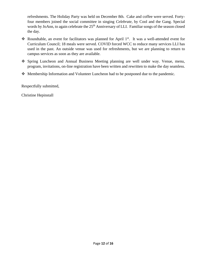refreshments. The Holiday Party was held on December 8th. Cake and coffee were served. Fortyfour members joined the social committee in singing *Celebrate*, by Cool and the Gang. Special words by JoAnn, to again celebrate the 25<sup>th</sup> Anniversary of LLI. Familiar songs of the season closed the day.

- $\triangle$  Roundtable, an event for facilitators was planned for April 1<sup>st</sup>. It was a well-attended event for Curriculum Council; 18 meals were served. COVID forced WCC to reduce many services LLI has used in the past. An outside venue was used for refreshments, but we are planning to return to campus services as soon as they are available.
- ❖ Spring Luncheon and Annual Business Meeting planning are well under way. Venue, menu, program, invitations, on-line registration have been written and rewritten to make the day seamless.
- ❖ Membership Information and Volunteer Luncheon had to be postponed due to the pandemic.

Respectfully submitted,

Christine Hepinstall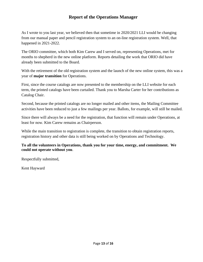# **Report of the Operations Manager**

As I wrote to you last year, we believed then that sometime in 2020/2021 LLI would be changing from our manual paper and pencil registration system to an on-line registration system. Well, that happened in 2021-2022.

The ORIO committee, which both Kim Carew and I served on, representing Operations, met for months to shepherd in the new online platform. Reports detailing the work that ORIO did have already been submitted to the Board.

With the retirement of the old registration system and the launch of the new online system, this was a year of **major transition** for Operations.

First, since the course catalogs are now presented to the membership on the LLI website for each term, the printed catalogs have been curtailed. Thank you to Marsha Carter for her contributions as Catalog Chair.

Second, because the printed catalogs are no longer mailed and other items, the Mailing Committee activities have been reduced to just a few mailings per year. Ballots, for example, will still be mailed.

Since there will always be a need for the registration, that function will remain under Operations, at least for now. Kim Carew remains as Chairperson.

While the main transition to registration is complete, the transition to obtain registration reports, registration history and other data is still being worked on by Operations and Technology.

#### **To all the volunteers in Operations, thank you for your time, energy, and commitment. We could not operate without you**.

Respectfully submitted,

Kent Hayward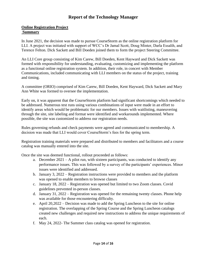# **Report of the Technology Manager**

#### **Online Registration Project Summary**

In June 2021, the decision was made to pursue CourseStorm as the online registration platform for LLI. A project was initiated with support of WCC's Dr Jamal Scott, Doug Minter, Darla Essalih, and Terence Felton. Dick Sackett and Bill Doeden joined them to form the project Steering Committee.

An LLI Core group consisting of Kim Carew, Bill Doeden, Kent Hayward and Dick Sackett was formed with responsibility for understanding, evaluating, customizing and implementing the platform as a functional online registration system. In addition, their role, in concert with Member Communications, included communicating with LLI members on the status of the project, training and timing.

A committee (ORIO) comprised of Kim Carew, Bill Doeden, Kent Hayward, Dick Sackett and Mary Ann White was formed to oversee the implementation.

Early on, it was apparent that the CourseStorm platform had significant shortcomings which needed to be addressed. Numerous test runs using various combinations of input were made in an effort to identify areas which would be problematic for our members. Issues with waitlisting, maneuvering through the site, site labeling and format were identified and workarounds implemented. Where possible, the site was customized to address our registration needs.

Rules governing refunds and check payments were agreed and communicated to membership. A decision was made that LLI would cover CourseStorm's fees for the spring term.

Registration training materials were prepared and distributed to members and facilitators and a course catalog was manually entered into the site.

Once the site was deemed functional, rollout proceeded as follows:

- a. December 2021 A pilot run, with sixteen participants, was conducted to identify any performance issues. This was followed by a survey of the participants' experiences. Minor issues were identified and addressed.
- b. January 3, 2022 Registration instructions were provided to members and the platform was opened to enable members to browse classes
- c. January 18, 2022 Registration was opened but limited to two Zoom classes. Covid guidelines prevented in-person classes.
- d. January 31, 2022 Registration was opened for the remaining twenty classes. Phone help was available for those encountering difficulty.
- e. April 20,2022 Decision was made to add the Spring Luncheon to the site for online registration. The overlapping of the Spring Course and the Spring Luncheon catalogs created new challenges and required new instructions to address the unique requirements of each.
- f. May 24, 2022- The Summer class catalog was opened for registration.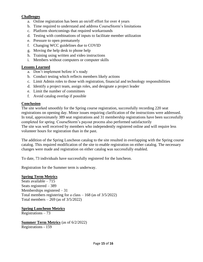#### **Challenges**

- a. Online registration has been an on/off effort for over 4 years
- b. Time required to understand and address CourseStorm's limitations
- c. Platform shortcomings that required workarounds
- d. Testing with combinations of inputs to facilitate member utilization
- e. Pressure to open prematurely
- f. Changing WCC guidelines due to COVID
- g. Moving the help desk to phone help
- h. Training using written and video instructions
- i. Members without computers or computer skills

#### **Lessons Learned**

- a. Don't implement before it's ready
- b. Conduct testing which reflects members likely actions
- c. Limit Admin roles to those with registration, financial and technology responsibilities
- d. Identify a project team, assign roles, and designate a project leader
- e. Limit the number of committees
- f. Avoid catalog overlap if possible

#### **Conclusion**

The site worked smoothly for the Spring course registration, successfully recording 220 seat registrations on opening day. Minor issues requiring clarification of the instructions were addressed. In total, approximately 389 seat registrations and 31 membership registrations have been successfully completed for spring. CourseStorm's payout process also performed satisfactorily The site was well received by members who independently registered online and will require less volunteer hours for registration than in the past.

The addition of the Spring Luncheon catalog to the site resulted in overlapping with the Spring course catalog. This required modification of the site to enable registration on either catalog. The necessary changes were made and registration on either catalog was successfully enabled.

To date, 73 individuals have successfully registered for the luncheon.

Registration for the Summer term is underway.

#### **Spring Term Metrics**

Seats available – 715 Seats registered – 389 Memberships registered – 31 Total members registering for a class – 168 (as of 3/5/2022) Total members  $-269$  (as of  $3/5/2022$ )

#### **Spring Luncheon Metrics**

Registrations – 73

**Summer Term Metrics** (as of 6/2/2022) Registrations - 159